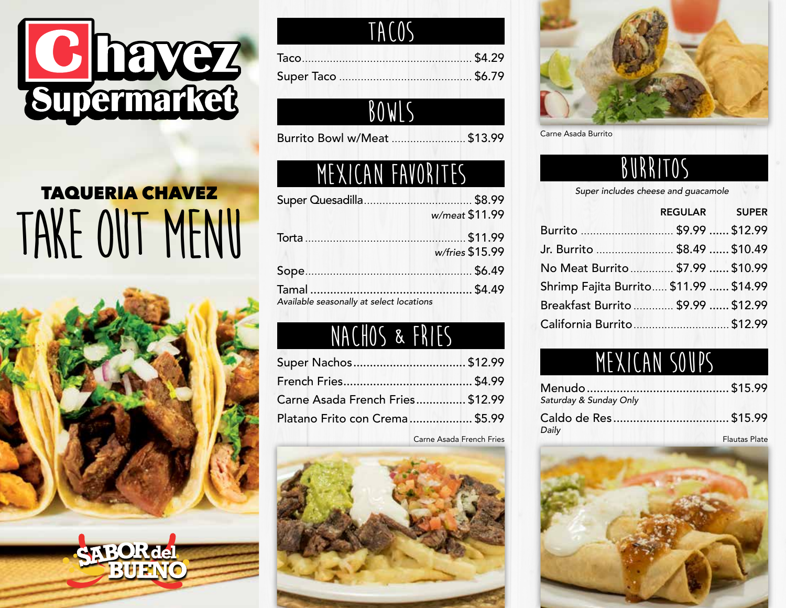

# TAQUERIA CHAVEZ TAKE OUT MENU



| TACOS |  |
|-------|--|
|       |  |
|       |  |

#### **BOWLS**

Burrito Bowl w/Meat ........................ \$13.99

### **MEXICAN FAVORITES BURRITOS**

|                                          | w/meat \$11.99  |
|------------------------------------------|-----------------|
|                                          |                 |
|                                          | w/fries \$15.99 |
|                                          |                 |
|                                          |                 |
| Available seasonally at select locations |                 |

### **nachos & fries**

| Super Nachos\$12.99              |  |
|----------------------------------|--|
|                                  |  |
| Carne Asada French Fries \$12.99 |  |
| Platano Frito con Crema \$5.99   |  |
|                                  |  |

Carne Asada French Fries





Carne Asada Burrito

*Super includes cheese and guacamole*

|                                        | REGULAR SUPER |
|----------------------------------------|---------------|
| Burrito  \$9.99  \$12.99               |               |
| Jr. Burrito  \$8.49  \$10.49           |               |
| No Meat Burrito \$7.99  \$10.99        |               |
| Shrimp Fajita Burrito \$11.99  \$14.99 |               |
| Breakfast Burrito  \$9.99  \$12.99     |               |
| California Burrito \$12.99             |               |

#### **MEXICAN SOUPS**

| Saturday & Sunday Only |               |
|------------------------|---------------|
|                        |               |
| Daily                  | Flautas Plate |